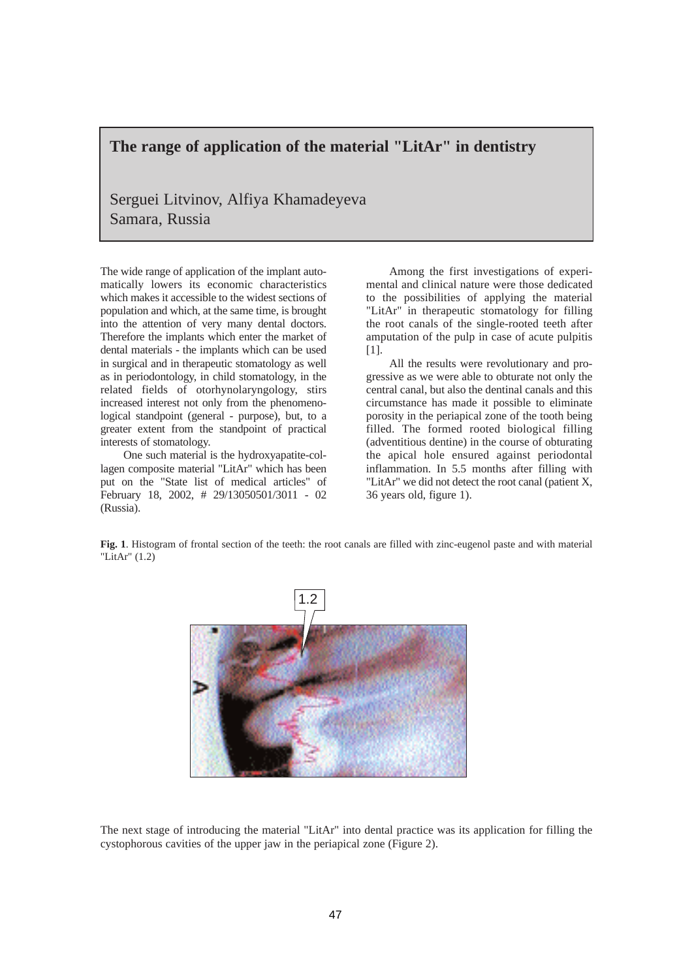## **The range of application of the material "LitAr" in dentistry**

Serguei Litvinov, Alfiya Khamadeyeva Samara, Russia

The wide range of application of the implant automatically lowers its economic characteristics which makes it accessible to the widest sections of population and which, at the same time, is brought into the attention of very many dental doctors. Therefore the implants which enter the market of dental materials - the implants which can be used in surgical and in therapeutic stomatology as well as in periodontology, in child stomatology, in the related fields of otorhynolaryngology, stirs increased interest not only from the phenomenological standpoint (general - purpose), but, to a greater extent from the standpoint of practical interests of stomatology.

One such material is the hydroxyapatite-collagen composite material "LitAr" which has been put on the "State list of medical articles" of February 18, 2002, # 29/13050501/3011 - 02 (Russia).

Among the first investigations of experimental and clinical nature were those dedicated to the possibilities of applying the material "LitAr" in therapeutic stomatology for filling the root canals of the single-rooted teeth after amputation of the pulp in case of acute pulpitis [1].

All the results were revolutionary and progressive as we were able to obturate not only the central canal, but also the dentinal canals and this circumstance has made it possible to eliminate porosity in the periapical zone of the tooth being filled. The formed rooted biological filling (adventitious dentine) in the course of obturating the apical hole ensured against periodontal inflammation. In 5.5 months after filling with "LitAr" we did not detect the root canal (patient X, 36 years old, figure 1).

**Fig. 1**. Histogram of frontal section of the teeth: the root canals are filled with zinc-eugenol paste and with material "LitAr" (1.2)



The next stage of introducing the material "LitAr" into dental practice was its application for filling the cystophorous cavities of the upper jaw in the periapical zone (Figure 2).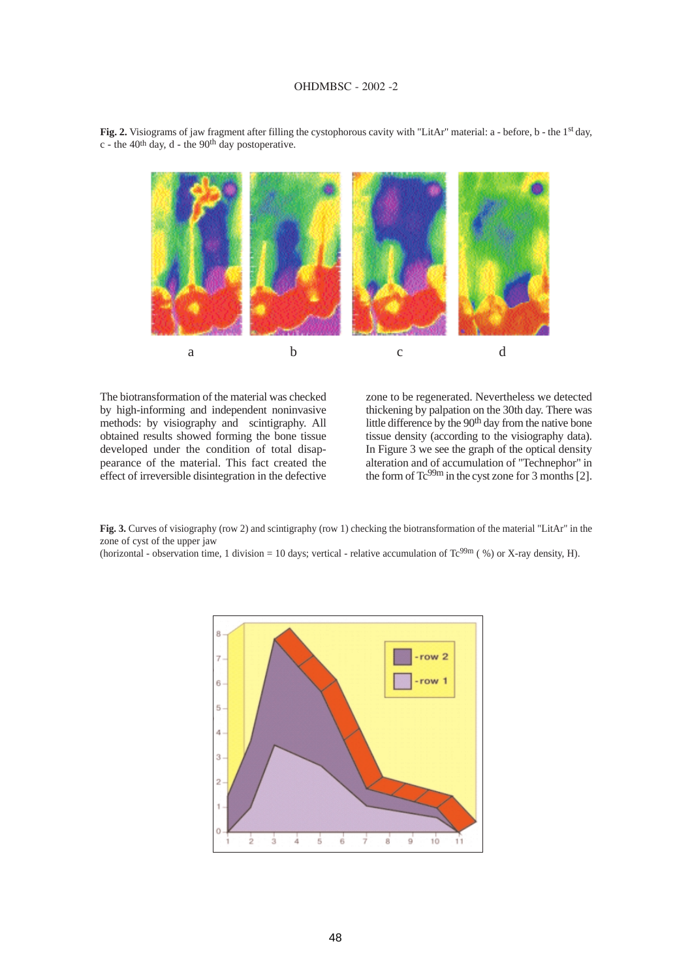## **OHDMBSC - 2002 -2**



**Fig. 2.** Visiograms of jaw fragment after filling the cystophorous cavity with "LitAr" material: a - before, b - the 1st day, c - the 40th day, d - the 90th day postoperative.

The biotransformation of the material was checked by high-informing and independent noninvasive methods: by visiography and scintigraphy. All obtained results showed forming the bone tissue developed under the condition of total disappearance of the material. This fact created the effect of irreversible disintegration in the defective zone to be regenerated. Nevertheless we detected thickening by palpation on the 30th day. There was little difference by the 90<sup>th</sup> day from the native bone tissue density (according to the visiography data). In Figure 3 we see the graph of the optical density alteration and of accumulation of "Technephor" in the form of  $Tc^{99m}$  in the cyst zone for 3 months [2].

**Fig. 3.** Curves of visiography (row 2) and scintigraphy (row 1) checking the biotransformation of the material "LitAr" in the zone of cyst of the upper jaw

(horizontal - observation time, 1 division = 10 days; vertical - relative accumulation of  $Tc^{99m}$  (%) or X-ray density, H).